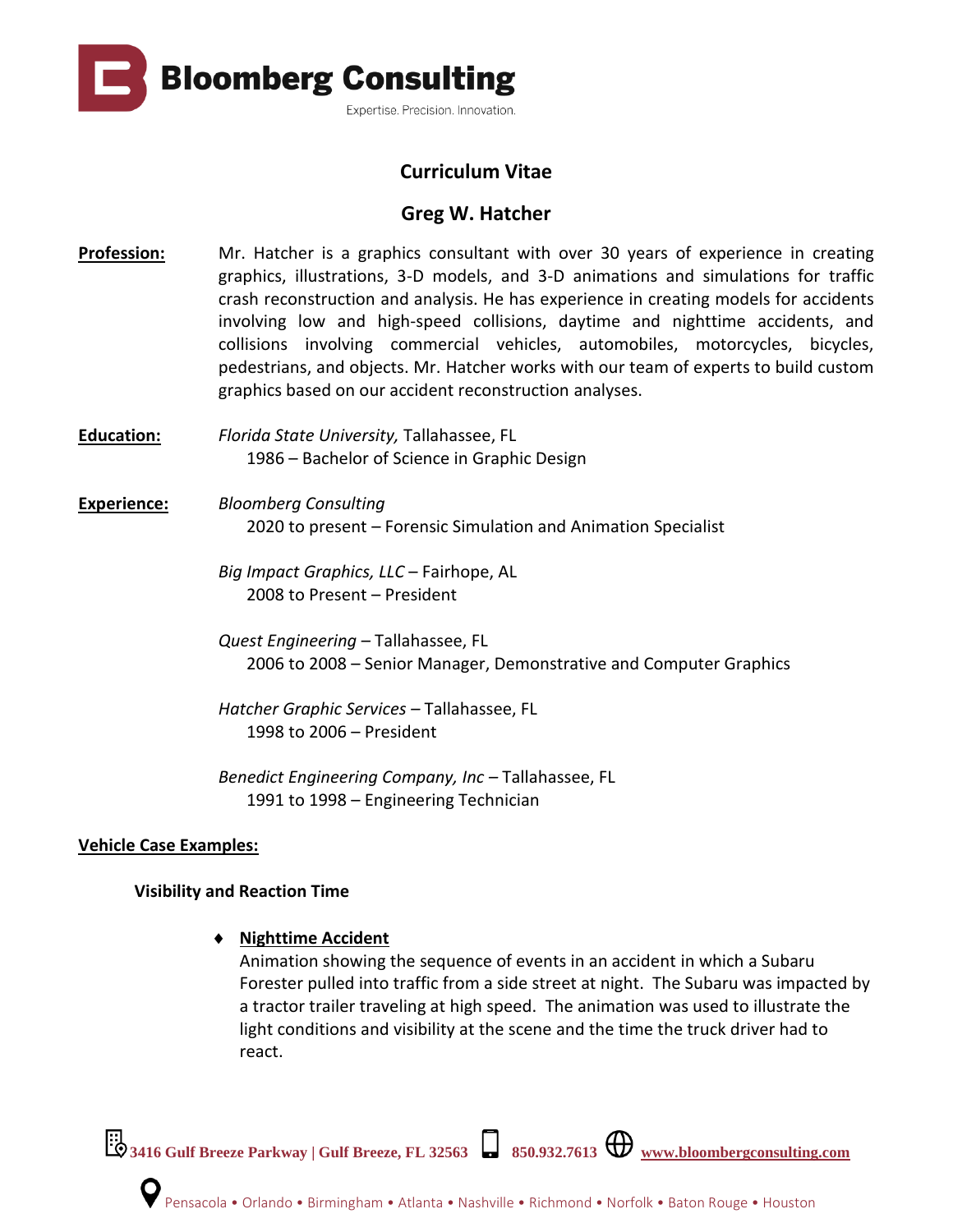**Bloomberg Consulting** Expertise. Precision. Innovation.

# **Curriculum Vitae**

# **Greg W. Hatcher**

- **Profession:** Mr. Hatcher is a graphics consultant with over 30 years of experience in creating graphics, illustrations, 3-D models, and 3-D animations and simulations for traffic crash reconstruction and analysis. He has experience in creating models for accidents involving low and high-speed collisions, daytime and nighttime accidents, and collisions involving commercial vehicles, automobiles, motorcycles, bicycles, pedestrians, and objects. Mr. Hatcher works with our team of experts to build custom graphics based on our accident reconstruction analyses.
- **Education:** *Florida State University,* Tallahassee, FL 1986 – Bachelor of Science in Graphic Design

## **Experience:** *Bloomberg Consulting*  2020 to present – Forensic Simulation and Animation Specialist

*Big Impact Graphics, LLC* – Fairhope, AL 2008 to Present – President

*Quest Engineering –* Tallahassee, FL 2006 to 2008 – Senior Manager, Demonstrative and Computer Graphics

*Hatcher Graphic Services –* Tallahassee, FL 1998 to 2006 – President

*Benedict Engineering Company, Inc –* Tallahassee, FL 1991 to 1998 – Engineering Technician

### **Vehicle Case Examples:**

### **Visibility and Reaction Time**

### **Nighttime Accident**

Animation showing the sequence of events in an accident in which a Subaru Forester pulled into traffic from a side street at night. The Subaru was impacted by a tractor trailer traveling at high speed. The animation was used to illustrate the light conditions and visibility at the scene and the time the truck driver had to react.

**3416 Gulf Breeze Parkway | Gulf Breeze, FL 32563 850.932.7613 [www.bloombergconsulting.com](http://www.bloombergconsulting.com/)**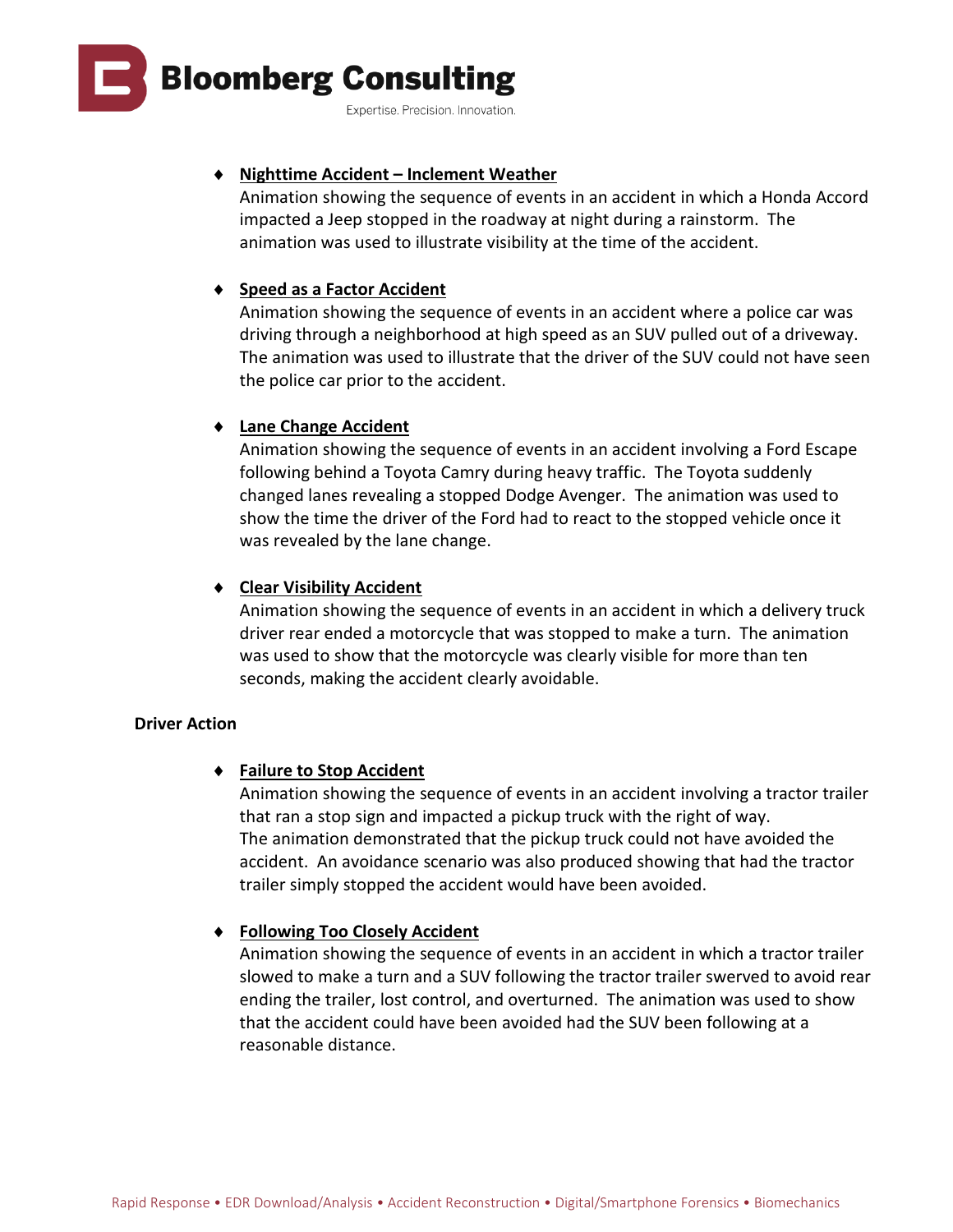

#### **Nighttime Accident – Inclement Weather**

Animation showing the sequence of events in an accident in which a Honda Accord impacted a Jeep stopped in the roadway at night during a rainstorm. The animation was used to illustrate visibility at the time of the accident.

### **Speed as a Factor Accident**

Animation showing the sequence of events in an accident where a police car was driving through a neighborhood at high speed as an SUV pulled out of a driveway. The animation was used to illustrate that the driver of the SUV could not have seen the police car prior to the accident.

### **Lane Change Accident**

Animation showing the sequence of events in an accident involving a Ford Escape following behind a Toyota Camry during heavy traffic. The Toyota suddenly changed lanes revealing a stopped Dodge Avenger. The animation was used to show the time the driver of the Ford had to react to the stopped vehicle once it was revealed by the lane change.

### **Clear Visibility Accident**

Animation showing the sequence of events in an accident in which a delivery truck driver rear ended a motorcycle that was stopped to make a turn. The animation was used to show that the motorcycle was clearly visible for more than ten seconds, making the accident clearly avoidable.

#### **Driver Action**

#### **Failure to Stop Accident**

Animation showing the sequence of events in an accident involving a tractor trailer that ran a stop sign and impacted a pickup truck with the right of way. The animation demonstrated that the pickup truck could not have avoided the accident. An avoidance scenario was also produced showing that had the tractor trailer simply stopped the accident would have been avoided.

### **Following Too Closely Accident**

Animation showing the sequence of events in an accident in which a tractor trailer slowed to make a turn and a SUV following the tractor trailer swerved to avoid rear ending the trailer, lost control, and overturned. The animation was used to show that the accident could have been avoided had the SUV been following at a reasonable distance.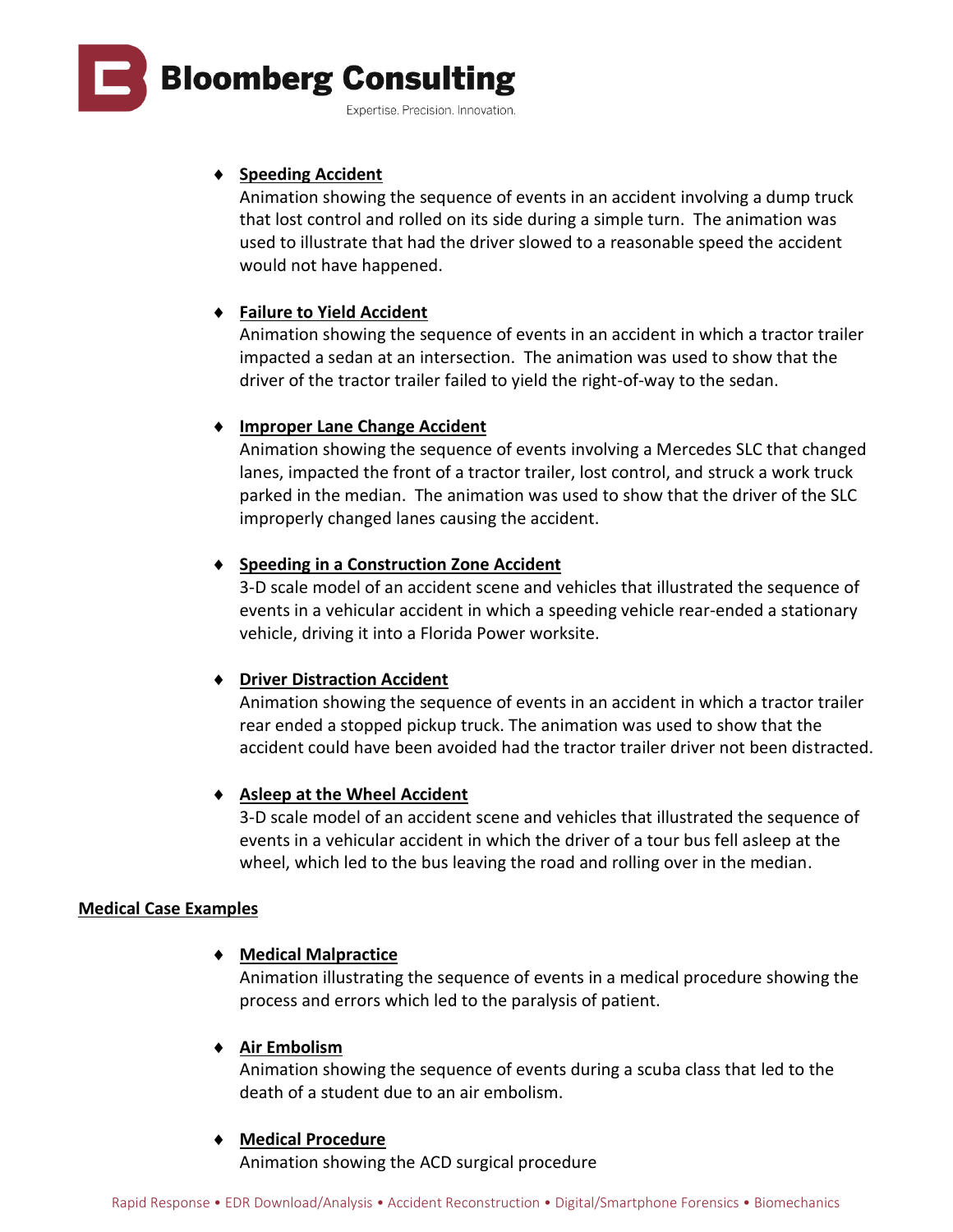

#### Expertise. Precision. Innovation.

### **Speeding Accident**

Animation showing the sequence of events in an accident involving a dump truck that lost control and rolled on its side during a simple turn. The animation was used to illustrate that had the driver slowed to a reasonable speed the accident would not have happened.

### **Failure to Yield Accident**

Animation showing the sequence of events in an accident in which a tractor trailer impacted a sedan at an intersection. The animation was used to show that the driver of the tractor trailer failed to yield the right-of-way to the sedan.

### **Improper Lane Change Accident**

Animation showing the sequence of events involving a Mercedes SLC that changed lanes, impacted the front of a tractor trailer, lost control, and struck a work truck parked in the median. The animation was used to show that the driver of the SLC improperly changed lanes causing the accident.

### **Speeding in a Construction Zone Accident**

3-D scale model of an accident scene and vehicles that illustrated the sequence of events in a vehicular accident in which a speeding vehicle rear-ended a stationary vehicle, driving it into a Florida Power worksite.

### **Driver Distraction Accident**

Animation showing the sequence of events in an accident in which a tractor trailer rear ended a stopped pickup truck. The animation was used to show that the accident could have been avoided had the tractor trailer driver not been distracted.

### **Asleep at the Wheel Accident**

3-D scale model of an accident scene and vehicles that illustrated the sequence of events in a vehicular accident in which the driver of a tour bus fell asleep at the wheel, which led to the bus leaving the road and rolling over in the median.

### **Medical Case Examples**

### **Medical Malpractice**

Animation illustrating the sequence of events in a medical procedure showing the process and errors which led to the paralysis of patient.

### **Air Embolism**

Animation showing the sequence of events during a scuba class that led to the death of a student due to an air embolism.

#### **Medical Procedure**

Animation showing the ACD surgical procedure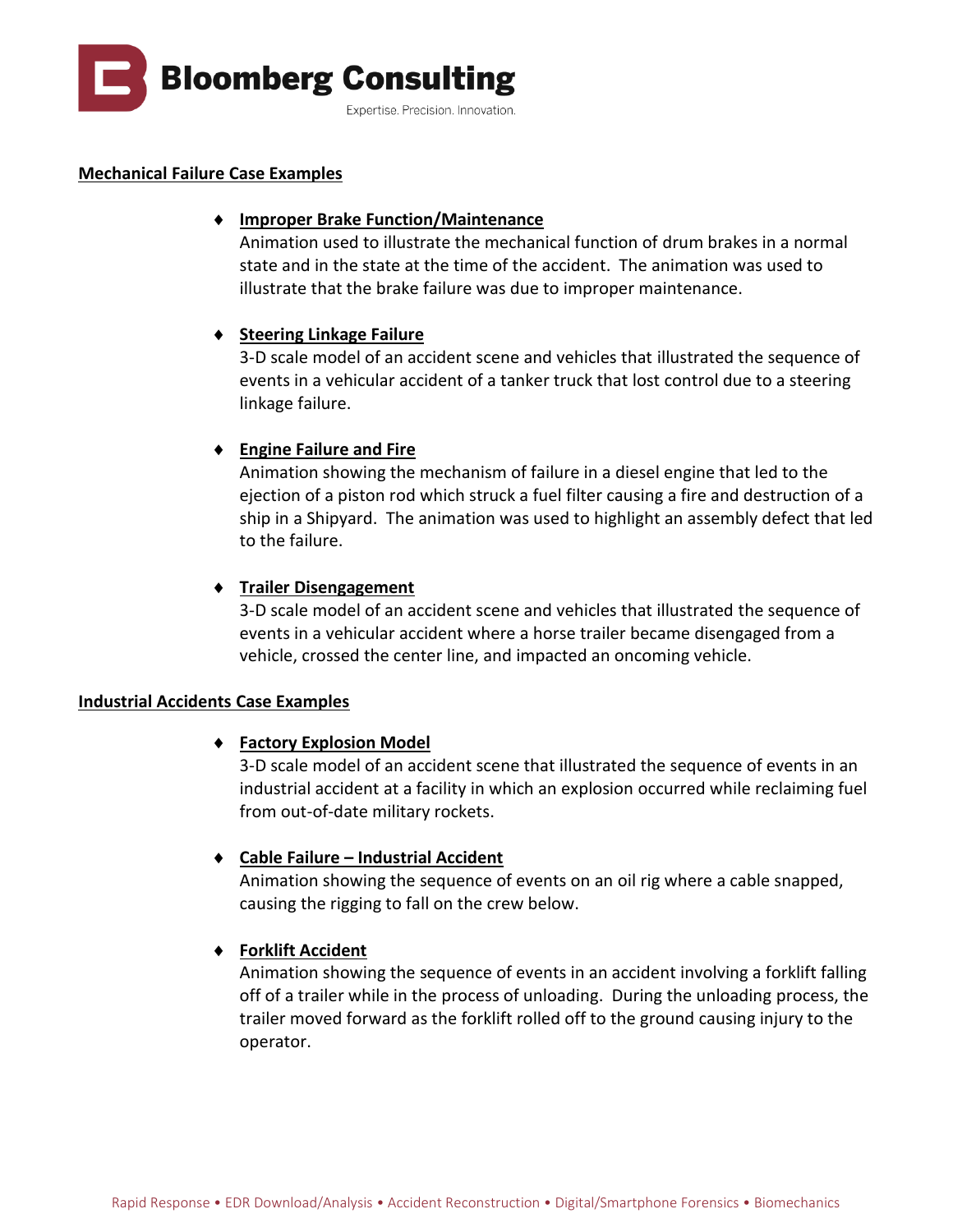

#### **Mechanical Failure Case Examples**

#### **Improper Brake Function/Maintenance**

Animation used to illustrate the mechanical function of drum brakes in a normal state and in the state at the time of the accident. The animation was used to illustrate that the brake failure was due to improper maintenance.

#### **Steering Linkage Failure**

3-D scale model of an accident scene and vehicles that illustrated the sequence of events in a vehicular accident of a tanker truck that lost control due to a steering linkage failure.

#### **Engine Failure and Fire**

Animation showing the mechanism of failure in a diesel engine that led to the ejection of a piston rod which struck a fuel filter causing a fire and destruction of a ship in a Shipyard. The animation was used to highlight an assembly defect that led to the failure.

#### **Trailer Disengagement**

3-D scale model of an accident scene and vehicles that illustrated the sequence of events in a vehicular accident where a horse trailer became disengaged from a vehicle, crossed the center line, and impacted an oncoming vehicle.

#### **Industrial Accidents Case Examples**

#### **Factory Explosion Model**

3-D scale model of an accident scene that illustrated the sequence of events in an industrial accident at a facility in which an explosion occurred while reclaiming fuel from out-of-date military rockets.

#### **Cable Failure – Industrial Accident**

Animation showing the sequence of events on an oil rig where a cable snapped, causing the rigging to fall on the crew below.

#### **Forklift Accident**

Animation showing the sequence of events in an accident involving a forklift falling off of a trailer while in the process of unloading. During the unloading process, the trailer moved forward as the forklift rolled off to the ground causing injury to the operator.